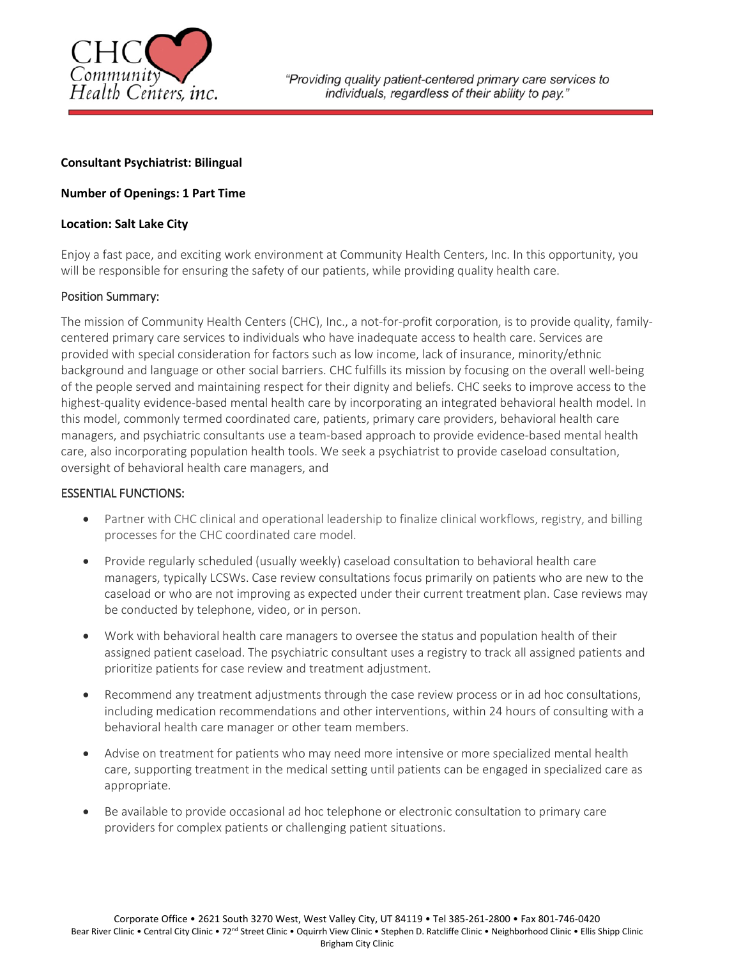

# **Consultant Psychiatrist: Bilingual**

# **Number of Openings: 1 Part Time**

### **Location: Salt Lake City**

Enjoy a fast pace, and exciting work environment at Community Health Centers, Inc. In this opportunity, you will be responsible for ensuring the safety of our patients, while providing quality health care.

### Position Summary:

The mission of Community Health Centers (CHC), Inc., a not-for-profit corporation, is to provide quality, familycentered primary care services to individuals who have inadequate access to health care. Services are provided with special consideration for factors such as low income, lack of insurance, minority/ethnic background and language or other social barriers. CHC fulfills its mission by focusing on the overall well-being of the people served and maintaining respect for their dignity and beliefs. CHC seeks to improve access to the highest-quality evidence-based mental health care by incorporating an integrated behavioral health model. In this model, commonly termed coordinated care, patients, primary care providers, behavioral health care managers, and psychiatric consultants use a team-based approach to provide evidence-based mental health care, also incorporating population health tools. We seek a psychiatrist to provide caseload consultation, oversight of behavioral health care managers, and

### ESSENTIAL FUNCTIONS:

- Partner with CHC clinical and operational leadership to finalize clinical workflows, registry, and billing processes for the CHC coordinated care model.
- Provide regularly scheduled (usually weekly) caseload consultation to behavioral health care managers, typically LCSWs. Case review consultations focus primarily on patients who are new to the caseload or who are not improving as expected under their current treatment plan. Case reviews may be conducted by telephone, video, or in person.
- Work with behavioral health care managers to oversee the status and population health of their assigned patient caseload. The psychiatric consultant uses a registry to track all assigned patients and prioritize patients for case review and treatment adjustment.
- Recommend any treatment adjustments through the case review process or in ad hoc consultations, including medication recommendations and other interventions, within 24 hours of consulting with a behavioral health care manager or other team members.
- Advise on treatment for patients who may need more intensive or more specialized mental health care, supporting treatment in the medical setting until patients can be engaged in specialized care as appropriate.
- Be available to provide occasional ad hoc telephone or electronic consultation to primary care providers for complex patients or challenging patient situations.